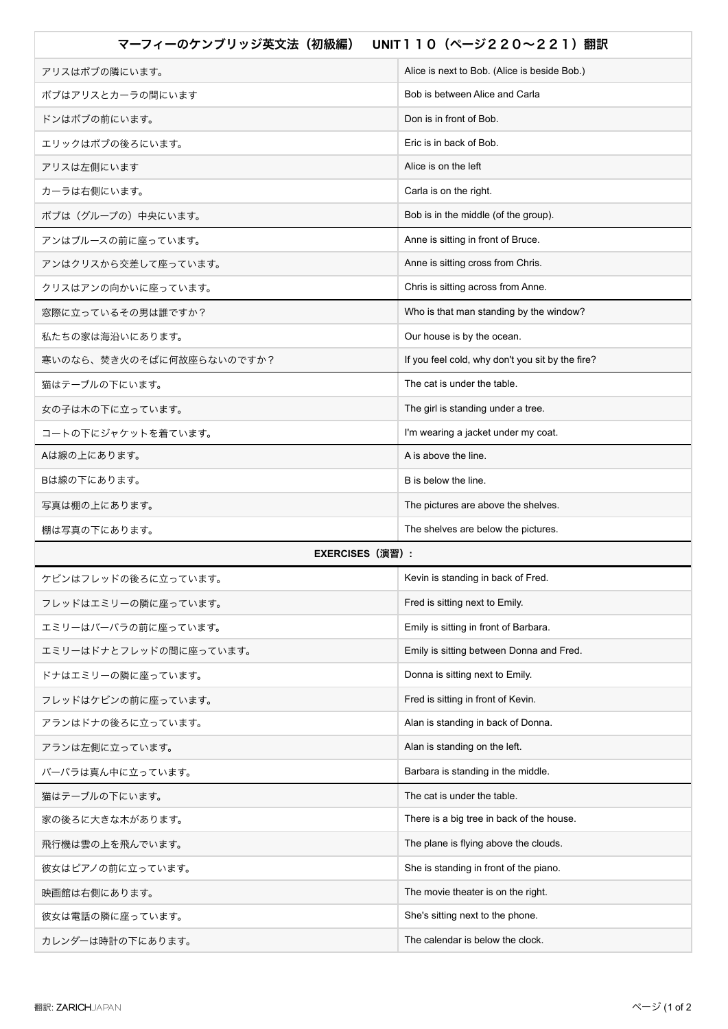| マーフィーのケンブリッジ英文法(初級編)     | UNIT 1 1 0 (ページ2 2 0 ~ 2 2 1) 翻訳                 |
|--------------------------|--------------------------------------------------|
| アリスはボブの隣にいます。            | Alice is next to Bob. (Alice is beside Bob.)     |
| ボブはアリスとカーラの間にいます         | Bob is between Alice and Carla                   |
| ドンはボブの前にいます。             | Don is in front of Bob.                          |
| エリックはボブの後ろにいます。          | Eric is in back of Bob.                          |
| アリスは左側にいます               | Alice is on the left                             |
| カーラは右側にいます。              | Carla is on the right.                           |
| ボブは(グループの)中央にいます。        | Bob is in the middle (of the group).             |
| アンはブルースの前に座っています。        | Anne is sitting in front of Bruce.               |
| アンはクリスから交差して座っています。      | Anne is sitting cross from Chris.                |
| クリスはアンの向かいに座っています。       | Chris is sitting across from Anne.               |
| 窓際に立っているその男は誰ですか?        | Who is that man standing by the window?          |
| 私たちの家は海沿いにあります。          | Our house is by the ocean.                       |
| 寒いのなら、焚き火のそばに何故座らないのですか? | If you feel cold, why don't you sit by the fire? |
| 猫はテーブルの下にいます。            | The cat is under the table.                      |
| 女の子は木の下に立っています。          | The girl is standing under a tree.               |
| コートの下にジャケットを着ています。       | I'm wearing a jacket under my coat.              |
| Aは線の上にあります。              | A is above the line.                             |
| Bは線の下にあります。              | B is below the line.                             |
| 写真は棚の上にあります。             | The pictures are above the shelves.              |
| 棚は写真の下にあります。             | The shelves are below the pictures.              |
| <b>EXERCISES (演習) :</b>  |                                                  |
| ケビンはフレッドの後ろに立っています。      | Kevin is standing in back of Fred.               |
| フレッドはエミリーの隣に座っています。      | Fred is sitting next to Emily.                   |
| エミリーはバーバラの前に座っています。      | Emily is sitting in front of Barbara.            |
| エミリーはドナとフレッドの間に座っています。   | Emily is sitting between Donna and Fred.         |
| ドナはエミリーの隣に座っています。        | Donna is sitting next to Emily.                  |
| フレッドはケビンの前に座っています。       | Fred is sitting in front of Kevin.               |
| アランはドナの後ろに立っています。        | Alan is standing in back of Donna.               |
| アランは左側に立っています。           | Alan is standing on the left.                    |
| バーバラは真ん中に立っています。         | Barbara is standing in the middle.               |
| 猫はテーブルの下にいます。            | The cat is under the table.                      |
| 家の後ろに大きな木があります。          | There is a big tree in back of the house.        |
| 飛行機は雲の上を飛んでいます。          | The plane is flying above the clouds.            |
| 彼女はピアノの前に立っています。         | She is standing in front of the piano.           |
| 映画館は右側にあります。             | The movie theater is on the right.               |
| 彼女は電話の隣に座っています。          | She's sitting next to the phone.                 |
| カレンダーは時計の下にあります。         | The calendar is below the clock.                 |